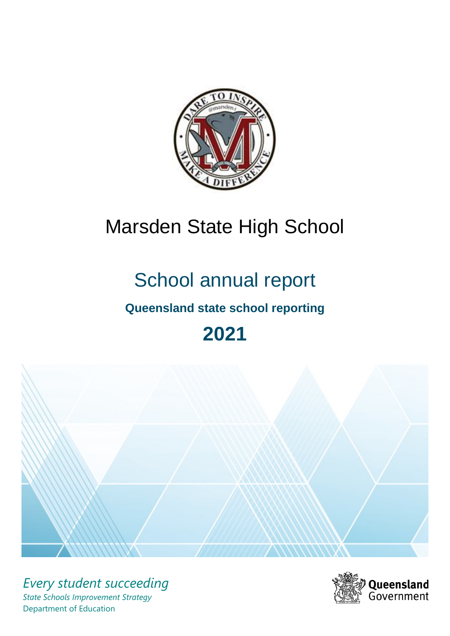

# Marsden State High School

# School annual report

# **Queensland state school reporting**

# **2021**



*Every student succeeding State Schools Improvement Strategy* Department of Education

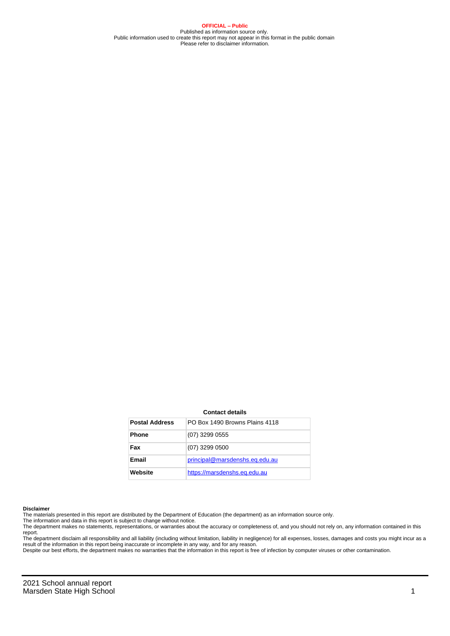**OFFICIAL – Public** Published as information source only. Public information used to create this report may not appear in this format in the public domain Please refer to disclaimer information.

#### **Contact details**

| <b>Postal Address</b> | PO Box 1490 Browns Plains 4118 |
|-----------------------|--------------------------------|
| <b>Phone</b>          | $(07)$ 3299 0555               |
| Fax                   | $(07)$ 3299 0500               |
| Email                 | principal@marsdenshs.eq.edu.au |
| Website               | https://marsdenshs.eq.edu.au   |

#### **Disclaimer**

The materials presented in this report are distributed by the Department of Education (the department) as an information source only.

The information and data in this report is subject to change without notice.<br>The department makes no statements, representations, or warranties about the accuracy or completeness of, and you should not rely on, any informa report. The department disclaim all responsibility and all liability (including without limitation, liability in negligence) for all expenses, losses, damages and costs you might incur as a

result of the information in this report being inaccurate or incomplete in any way, and for any reason.

Despite our best efforts, the department makes no warranties that the information in this report is free of infection by computer viruses or other contamination.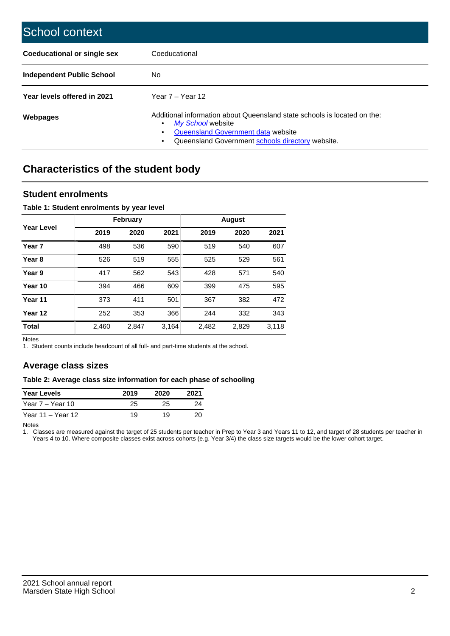| School context                   |                                                                                                                                                                                              |
|----------------------------------|----------------------------------------------------------------------------------------------------------------------------------------------------------------------------------------------|
| Coeducational or single sex      | Coeducational                                                                                                                                                                                |
| <b>Independent Public School</b> | No.                                                                                                                                                                                          |
| Year levels offered in 2021      | Year $7 -$ Year 12                                                                                                                                                                           |
| Webpages                         | Additional information about Queensland state schools is located on the:<br>My School website<br>Queensland Government data website<br>Queensland Government schools directory website.<br>٠ |

# **Characteristics of the student body**

## **Student enrolments**

### **Table 1: Student enrolments by year level**

|                   |       | <b>February</b> |       |       | <b>August</b> |       |
|-------------------|-------|-----------------|-------|-------|---------------|-------|
| Year Level        | 2019  | 2020            | 2021  | 2019  | 2020          | 2021  |
| Year <sub>7</sub> | 498   | 536             | 590   | 519   | 540           | 607   |
| Year 8            | 526   | 519             | 555   | 525   | 529           | 561   |
| Year 9            | 417   | 562             | 543   | 428   | 571           | 540   |
| Year 10           | 394   | 466             | 609   | 399   | 475           | 595   |
| Year 11           | 373   | 411             | 501   | 367   | 382           | 472   |
| Year 12           | 252   | 353             | 366   | 244   | 332           | 343   |
| <b>Total</b>      | 2,460 | 2,847           | 3,164 | 2,482 | 2,829         | 3,118 |

Notes

1. Student counts include headcount of all full- and part-time students at the school.

## **Average class sizes**

#### **Table 2: Average class size information for each phase of schooling**

| <b>Year Levels</b> | 2019 | 2020 | 2021 |
|--------------------|------|------|------|
| Year 7 – Year 10   | 25   | 25   | 24   |
| Year 11 – Year 12  | 19   | 19   | 20   |

Notes

1. Classes are measured against the target of 25 students per teacher in Prep to Year 3 and Years 11 to 12, and target of 28 students per teacher in Years 4 to 10. Where composite classes exist across cohorts (e.g. Year 3/4) the class size targets would be the lower cohort target.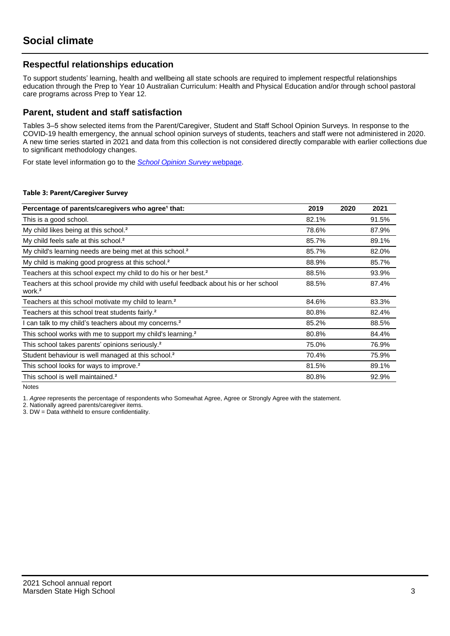## **Respectful relationships education**

To support students' learning, health and wellbeing all state schools are required to implement respectful relationships education through the Prep to Year 10 Australian Curriculum: Health and Physical Education and/or through school pastoral care programs across Prep to Year 12.

## **Parent, student and staff satisfaction**

Tables 3–5 show selected items from the Parent/Caregiver, Student and Staff School Opinion Surveys. In response to the COVID-19 health emergency, the annual school opinion surveys of students, teachers and staff were not administered in 2020. A new time series started in 2021 and data from this collection is not considered directly comparable with earlier collections due to significant methodology changes.

For state level information go to the **[School Opinion Survey](https://qed.qld.gov.au/publications/reports/statistics/schooling/schools/schoolopinionsurvey) webpage**.

#### **Table 3: Parent/Caregiver Survey**

| Percentage of parents/caregivers who agree <sup>1</sup> that:                                               | 2019  | 2020 | 2021  |
|-------------------------------------------------------------------------------------------------------------|-------|------|-------|
| This is a good school.                                                                                      | 82.1% |      | 91.5% |
| My child likes being at this school. <sup>2</sup>                                                           | 78.6% |      | 87.9% |
| My child feels safe at this school. <sup>2</sup>                                                            | 85.7% |      | 89.1% |
| My child's learning needs are being met at this school. <sup>2</sup>                                        | 85.7% |      | 82.0% |
| My child is making good progress at this school. <sup>2</sup>                                               | 88.9% |      | 85.7% |
| Teachers at this school expect my child to do his or her best. <sup>2</sup>                                 | 88.5% |      | 93.9% |
| Teachers at this school provide my child with useful feedback about his or her school<br>work. <sup>2</sup> | 88.5% |      | 87.4% |
| Teachers at this school motivate my child to learn. <sup>2</sup>                                            | 84.6% |      | 83.3% |
| Teachers at this school treat students fairly. <sup>2</sup>                                                 | 80.8% |      | 82.4% |
| I can talk to my child's teachers about my concerns. <sup>2</sup>                                           | 85.2% |      | 88.5% |
| This school works with me to support my child's learning. <sup>2</sup>                                      | 80.8% |      | 84.4% |
| This school takes parents' opinions seriously. <sup>2</sup>                                                 | 75.0% |      | 76.9% |
| Student behaviour is well managed at this school. <sup>2</sup>                                              | 70.4% |      | 75.9% |
| This school looks for ways to improve. <sup>2</sup>                                                         | 81.5% |      | 89.1% |
| This school is well maintained. <sup>2</sup>                                                                | 80.8% |      | 92.9% |

Notes

1. Agree represents the percentage of respondents who Somewhat Agree, Agree or Strongly Agree with the statement.

2. Nationally agreed parents/caregiver items.

3. DW = Data withheld to ensure confidentiality.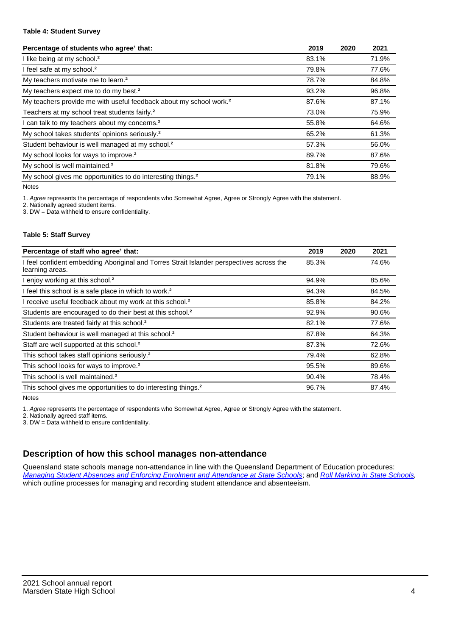#### **Table 4: Student Survey**

| Percentage of students who agree <sup>1</sup> that:                            | 2019  | 2020 | 2021  |
|--------------------------------------------------------------------------------|-------|------|-------|
| I like being at my school. <sup>2</sup>                                        | 83.1% |      | 71.9% |
| I feel safe at my school. <sup>2</sup>                                         | 79.8% |      | 77.6% |
| My teachers motivate me to learn. <sup>2</sup>                                 | 78.7% |      | 84.8% |
| My teachers expect me to do my best. <sup>2</sup>                              | 93.2% |      | 96.8% |
| My teachers provide me with useful feedback about my school work. <sup>2</sup> | 87.6% |      | 87.1% |
| Teachers at my school treat students fairly. <sup>2</sup>                      | 73.0% |      | 75.9% |
| I can talk to my teachers about my concerns. <sup>2</sup>                      | 55.8% |      | 64.6% |
| My school takes students' opinions seriously. <sup>2</sup>                     | 65.2% |      | 61.3% |
| Student behaviour is well managed at my school. <sup>2</sup>                   | 57.3% |      | 56.0% |
| My school looks for ways to improve. <sup>2</sup>                              | 89.7% |      | 87.6% |
| My school is well maintained. <sup>2</sup>                                     | 81.8% |      | 79.6% |
| My school gives me opportunities to do interesting things. <sup>2</sup>        | 79.1% |      | 88.9% |

Notes

1. Agree represents the percentage of respondents who Somewhat Agree, Agree or Strongly Agree with the statement.

2. Nationally agreed student items.

3. DW = Data withheld to ensure confidentiality.

### **Table 5: Staff Survey**

| Percentage of staff who agree <sup>1</sup> that:                                                            | 2019  | 2020 | 2021  |
|-------------------------------------------------------------------------------------------------------------|-------|------|-------|
| I feel confident embedding Aboriginal and Torres Strait Islander perspectives across the<br>learning areas. | 85.3% |      | 74.6% |
| I enjoy working at this school. <sup>2</sup>                                                                | 94.9% |      | 85.6% |
| I feel this school is a safe place in which to work. <sup>2</sup>                                           | 94.3% |      | 84.5% |
| I receive useful feedback about my work at this school. <sup>2</sup>                                        | 85.8% |      | 84.2% |
| Students are encouraged to do their best at this school. <sup>2</sup>                                       | 92.9% |      | 90.6% |
| Students are treated fairly at this school. <sup>2</sup>                                                    | 82.1% |      | 77.6% |
| Student behaviour is well managed at this school. <sup>2</sup>                                              | 87.8% |      | 64.3% |
| Staff are well supported at this school. <sup>2</sup>                                                       | 87.3% |      | 72.6% |
| This school takes staff opinions seriously. <sup>2</sup>                                                    | 79.4% |      | 62.8% |
| This school looks for ways to improve. <sup>2</sup>                                                         | 95.5% |      | 89.6% |
| This school is well maintained. <sup>2</sup>                                                                | 90.4% |      | 78.4% |
| This school gives me opportunities to do interesting things. <sup>2</sup>                                   | 96.7% |      | 87.4% |

Notes

1. Agree represents the percentage of respondents who Somewhat Agree, Agree or Strongly Agree with the statement.

2. Nationally agreed staff items.

3. DW = Data withheld to ensure confidentiality.

# **Description of how this school manages non-attendance**

Queensland state schools manage non-attendance in line with the Queensland Department of Education procedures: [Managing Student Absences and Enforcing Enrolment and Attendance at State Schools](https://ppr.qed.qld.gov.au/pp/managing-student-absences-and-enforcing-enrolment-and-attendance-at-state-schools-procedure); and [Roll Marking in State Schools,](https://ppr.qed.qld.gov.au/pp/roll-marking-in-state-schools-procedure) which outline processes for managing and recording student attendance and absenteeism.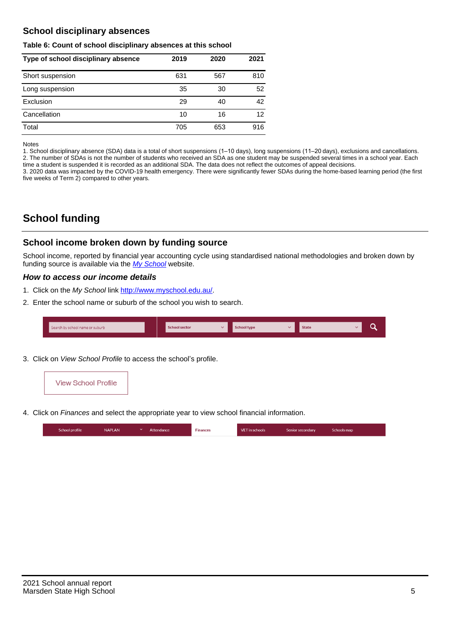# **School disciplinary absences**

#### **Table 6: Count of school disciplinary absences at this school**

| Type of school disciplinary absence | 2019 | 2020 | 2021 |
|-------------------------------------|------|------|------|
| Short suspension                    | 631  | 567  | 810  |
| Long suspension                     | 35   | 30   | 52   |
| Exclusion                           | 29   | 40   | 42   |
| Cancellation                        | 10   | 16   | 12   |
| Total                               | 705  | 653  | 916  |

Notes

1. School disciplinary absence (SDA) data is a total of short suspensions (1–10 days), long suspensions (11–20 days), exclusions and cancellations. 2. The number of SDAs is not the number of students who received an SDA as one student may be suspended several times in a school year. Each time a student is suspended it is recorded as an additional SDA. The data does not reflect the outcomes of appeal decisions.

3. 2020 data was impacted by the COVID-19 health emergency. There were significantly fewer SDAs during the home-based learning period (the first five weeks of Term 2) compared to other years.

# **School funding**

## **School income broken down by funding source**

School income, reported by financial year accounting cycle using standardised national methodologies and broken down by funding source is available via the [My School](http://www.myschool.edu.au/) website.

## **How to access our income details**

- 1. Click on the My School link <http://www.myschool.edu.au/>.
- 2. Enter the school name or suburb of the school you wish to search.

| Search by school name or suburb | <b>School sector</b> | School type | <b>State</b> |  |
|---------------------------------|----------------------|-------------|--------------|--|
|                                 |                      |             |              |  |

3. Click on View School Profile to access the school's profile.



4. Click on Finances and select the appropriate year to view school financial information.

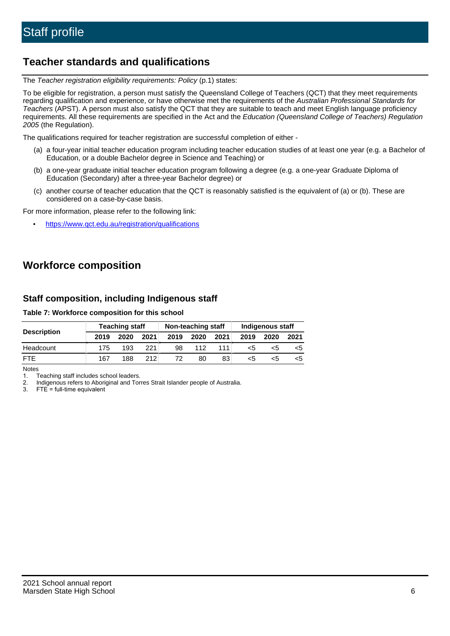# **Teacher standards and qualifications**

The Teacher registration eligibility requirements: Policy (p.1) states:

To be eligible for registration, a person must satisfy the Queensland College of Teachers (QCT) that they meet requirements regarding qualification and experience, or have otherwise met the requirements of the Australian Professional Standards for Teachers (APST). A person must also satisfy the QCT that they are suitable to teach and meet English language proficiency requirements. All these requirements are specified in the Act and the Education (Queensland College of Teachers) Regulation 2005 (the Regulation).

The qualifications required for teacher registration are successful completion of either -

- (a) a four-year initial teacher education program including teacher education studies of at least one year (e.g. a Bachelor of Education, or a double Bachelor degree in Science and Teaching) or
- (b) a one-year graduate initial teacher education program following a degree (e.g. a one-year Graduate Diploma of Education (Secondary) after a three-year Bachelor degree) or
- (c) another course of teacher education that the QCT is reasonably satisfied is the equivalent of (a) or (b). These are considered on a case-by-case basis.

For more information, please refer to the following link:

• <https://www.qct.edu.au/registration/qualifications>

# **Workforce composition**

## **Staff composition, including Indigenous staff**

### **Table 7: Workforce composition for this school**

|                    | <b>Teaching staff</b> |      |      | Non-teaching staff |      |      | Indigenous staff |      |      |
|--------------------|-----------------------|------|------|--------------------|------|------|------------------|------|------|
| <b>Description</b> | 2019                  | 2020 | 2021 | 2019               | 2020 | 2021 | 2019             | 2020 | 2021 |
| Headcount          | 175                   | 193  | 221  | 98                 | 112  | 111. | <5               | <5   |      |
| <b>FTE</b>         | 167                   | 188  | 212  | 72                 | 80   | 83   | $<$ 5            | <:   |      |

Notes

1. Teaching staff includes school leaders.

2. Indigenous refers to Aboriginal and Torres Strait Islander people of Australia.

3. FTE = full-time equivalent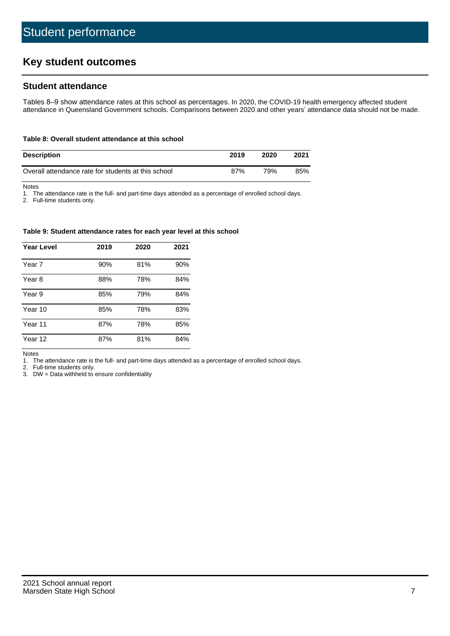# **Key student outcomes**

## **Student attendance**

Tables 8–9 show attendance rates at this school as percentages. In 2020, the COVID-19 health emergency affected student attendance in Queensland Government schools. Comparisons between 2020 and other years' attendance data should not be made.

#### **Table 8: Overall student attendance at this school**

| <b>Description</b>                                  | 2019 | 2020 | 2021 |
|-----------------------------------------------------|------|------|------|
| Overall attendance rate for students at this school | 87%  | 79%  | 85%  |

Notes

1. The attendance rate is the full- and part-time days attended as a percentage of enrolled school days.

2. Full-time students only.

#### **Table 9: Student attendance rates for each year level at this school**

| <b>Year Level</b> | 2019 | 2020 | 2021 |
|-------------------|------|------|------|
| Year 7            | 90%  | 81%  | 90%  |
| Year 8            | 88%  | 78%  | 84%  |
| Year 9            | 85%  | 79%  | 84%  |
| Year 10           | 85%  | 78%  | 83%  |
| Year 11           | 87%  | 78%  | 85%  |
| Year 12           | 87%  | 81%  | 84%  |

Notes

1. The attendance rate is the full- and part-time days attended as a percentage of enrolled school days.

2. Full-time students only.

3. DW = Data withheld to ensure confidentiality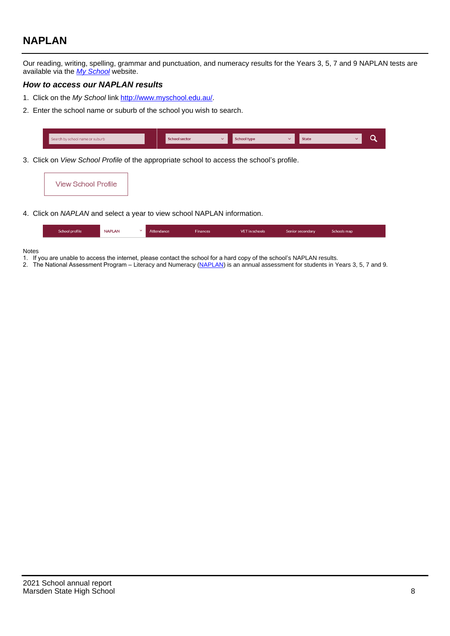# **NAPLAN**

Our reading, writing, spelling, grammar and punctuation, and numeracy results for the Years 3, 5, 7 and 9 NAPLAN tests are available via the [My School](http://www.myschool.edu.au/) website.

### **How to access our NAPLAN results**

- 1. Click on the My School link <http://www.myschool.edu.au/>.
- 2. Enter the school name or suburb of the school you wish to search.

| Search by school name or suburb | <b>School sector</b> | <b>School type</b>                        |          | <b>State</b> |  |
|---------------------------------|----------------------|-------------------------------------------|----------|--------------|--|
|                                 |                      |                                           |          |              |  |
|                                 |                      | $\sim$ $\sim$ $\sim$ $\sim$ $\sim$ $\sim$ | $\cdots$ |              |  |

3. Click on View School Profile of the appropriate school to access the school's profile.

| <b>View School Profile</b> |
|----------------------------|
|----------------------------|

4. Click on NAPLAN and select a year to view school NAPLAN information.

|  | School profile | <b>NAPLAN</b><br>$\sim$ 1 | Attendance | <b>Finances</b> | <b>VET</b> in schools | Senior secondary | Schools map |
|--|----------------|---------------------------|------------|-----------------|-----------------------|------------------|-------------|
|--|----------------|---------------------------|------------|-----------------|-----------------------|------------------|-------------|

#### Notes

- 1. If you are unable to access the internet, please contact the school for a hard copy of the school's NAPLAN results.
- 2. The National Assessment Program Literacy and Numeracy ([NAPLAN\)](http://www.nap.edu.au/naplan) is an annual assessment for students in Years 3, 5, 7 and 9.